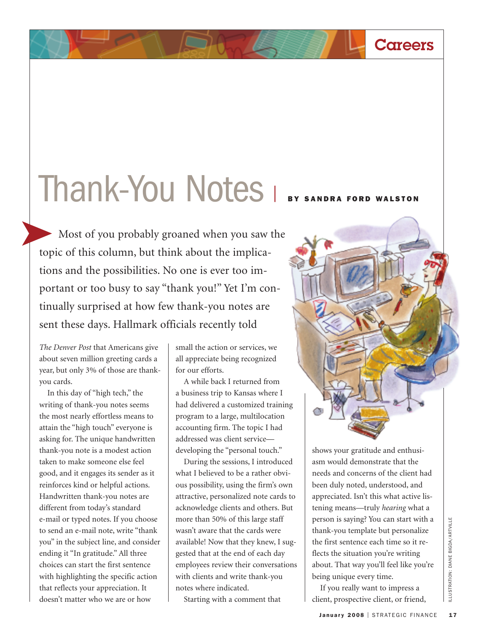## Thank-You Notes <sup>|</sup> **BY SANDRA FORD WALSTON**

Most of you probably groaned when you saw the topic of this column, but think about the implications and the possibilities. No one is ever too important or too busy to say "thank you!" Yet I'm continually surprised at how few thank-you notes are sent these days. Hallmark officials recently told

*The Denver Post* that Americans give about seven million greeting cards a year, but only 3% of those are thankyou cards.

In this day of "high tech," the writing of thank-you notes seems the most nearly effortless means to attain the "high touch" everyone is asking for. The unique handwritten thank-you note is a modest action taken to make someone else feel good, and it engages its sender as it reinforces kind or helpful actions. Handwritten thank-you notes are different from today's standard e-mail or typed notes. If you choose to send an e-mail note, write "thank you" in the subject line, and consider ending it "In gratitude." All three choices can start the first sentence with highlighting the specific action that reflects your appreciation. It doesn't matter who we are or how

small the action or services, we all appreciate being recognized for our efforts.

A while back I returned from a business trip to Kansas where I had delivered a customized training program to a large, multilocation accounting firm. The topic I had addressed was client service developing the "personal touch."

During the sessions, I introduced what I believed to be a rather obvious possibility, using the firm's own attractive, personalized note cards to acknowledge clients and others. But more than 50% of this large staff wasn't aware that the cards were available! Now that they knew, I suggested that at the end of each day employees review their conversations with clients and write thank-you notes where indicated.

Starting with a comment that

shows your gratitude and enthusiasm would demonstrate that the needs and concerns of the client had been duly noted, understood, and appreciated. Isn't this what active listening means—truly *hearing* what a person is saying? You can start with a thank-you template but personalize the first sentence each time so it reflects the situation you're writing about. That way you'll feel like you're being unique every time.

**Careers**

If you really want to impress a client, prospective client, or friend,